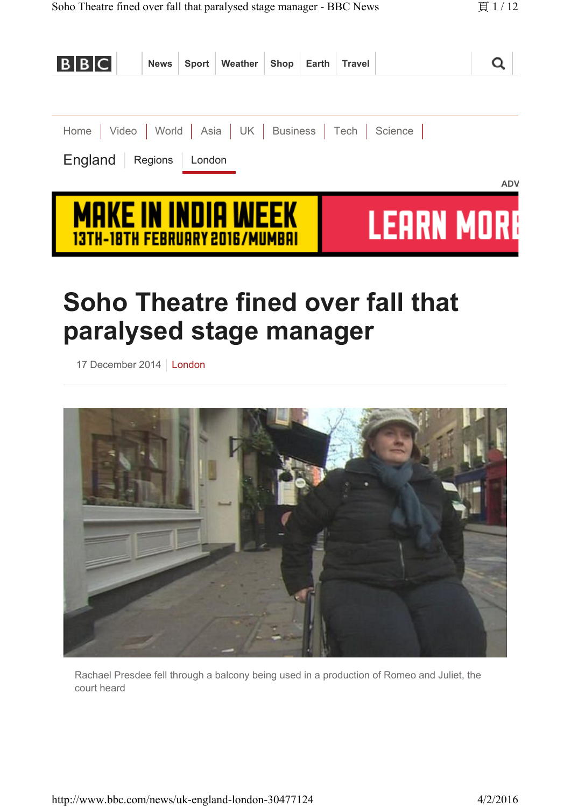| B B C                                                              | <b>News</b> |        | Sport Weather Shop Earth |  | <b>Travel</b> |            |            |
|--------------------------------------------------------------------|-------------|--------|--------------------------|--|---------------|------------|------------|
|                                                                    |             |        |                          |  |               |            |            |
| Home   Video   World   Asia   UK   Business   Tech   Science       |             |        |                          |  |               |            |            |
| England                                                            | Regions     | London |                          |  |               |            |            |
|                                                                    |             |        |                          |  |               |            | <b>ADV</b> |
| <b>MAKE IN INDIA MEEK</b><br><u>13TH-18TH FEBRUARY 2016/MUMBAI</u> |             |        |                          |  |               | TEHRN MIRI |            |

# **Soho Theatre fined over fall that paralysed stage manager**

17 December 2014 | London



Rachael Presdee fell through a balcony being used in a production of Romeo and Juliet, the court heard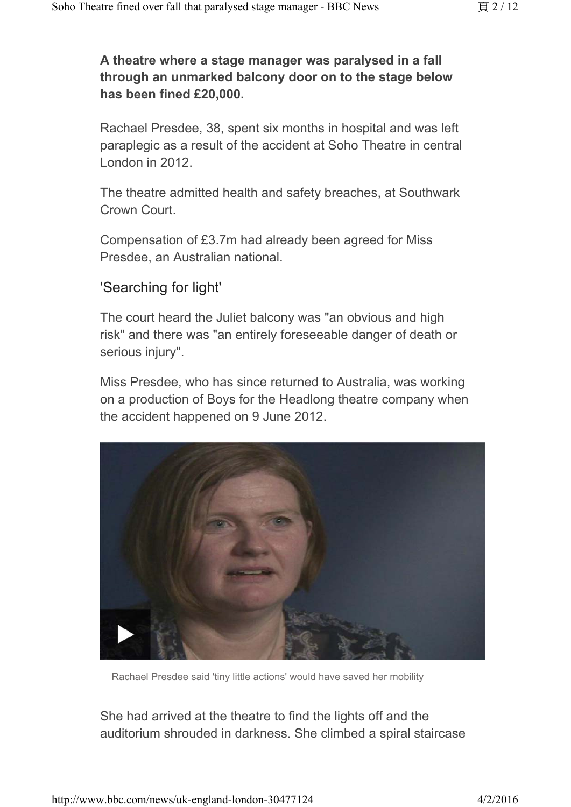#### **A theatre where a stage manager was paralysed in a fall through an unmarked balcony door on to the stage below has been fined £20,000.**

Rachael Presdee, 38, spent six months in hospital and was left paraplegic as a result of the accident at Soho Theatre in central London in 2012.

The theatre admitted health and safety breaches, at Southwark Crown Court.

Compensation of £3.7m had already been agreed for Miss Presdee, an Australian national.

#### 'Searching for light'

The court heard the Juliet balcony was "an obvious and high risk" and there was "an entirely foreseeable danger of death or serious injury".

Miss Presdee, who has since returned to Australia, was working on a production of Boys for the Headlong theatre company when the accident happened on 9 June 2012.



Rachael Presdee said 'tiny little actions' would have saved her mobility

She had arrived at the theatre to find the lights off and the auditorium shrouded in darkness. She climbed a spiral staircase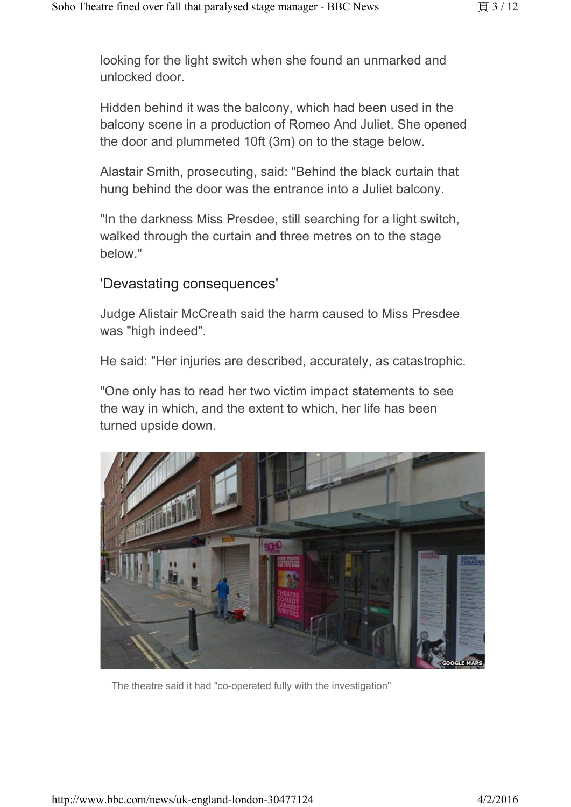looking for the light switch when she found an unmarked and unlocked door.

Hidden behind it was the balcony, which had been used in the balcony scene in a production of Romeo And Juliet. She opened the door and plummeted 10ft (3m) on to the stage below.

Alastair Smith, prosecuting, said: "Behind the black curtain that hung behind the door was the entrance into a Juliet balcony.

"In the darkness Miss Presdee, still searching for a light switch, walked through the curtain and three metres on to the stage below."

#### 'Devastating consequences'

Judge Alistair McCreath said the harm caused to Miss Presdee was "high indeed".

He said: "Her injuries are described, accurately, as catastrophic.

"One only has to read her two victim impact statements to see the way in which, and the extent to which, her life has been turned upside down.



The theatre said it had "co-operated fully with the investigation"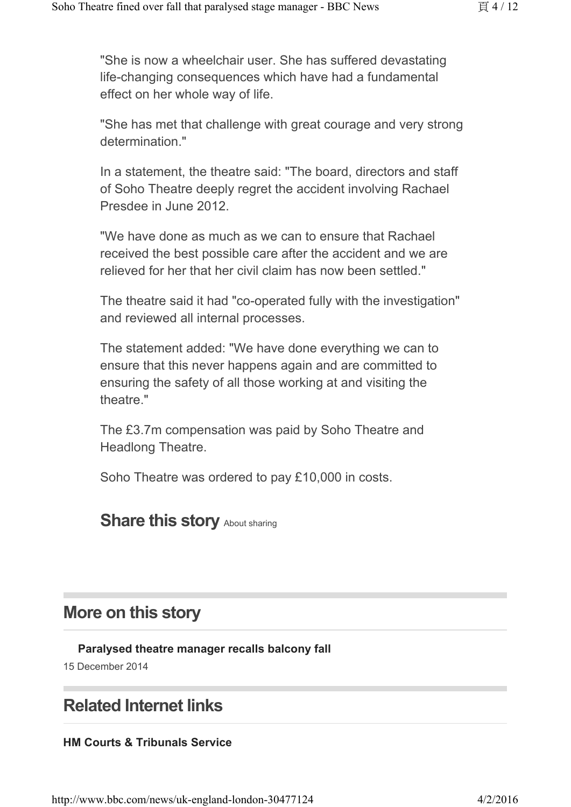"She is now a wheelchair user. She has suffered devastating life-changing consequences which have had a fundamental effect on her whole way of life.

"She has met that challenge with great courage and very strong determination."

In a statement, the theatre said: "The board, directors and staff of Soho Theatre deeply regret the accident involving Rachael Presdee in June 2012.

"We have done as much as we can to ensure that Rachael received the best possible care after the accident and we are relieved for her that her civil claim has now been settled."

The theatre said it had "co-operated fully with the investigation" and reviewed all internal processes.

The statement added: "We have done everything we can to ensure that this never happens again and are committed to ensuring the safety of all those working at and visiting the theatre."

The £3.7m compensation was paid by Soho Theatre and Headlong Theatre.

Soho Theatre was ordered to pay £10,000 in costs.

### **Share this story About sharing**

### **More on this story**

**Paralysed theatre manager recalls balcony fall** 

15 December 2014

## **Related Internet links**

#### **HM Courts & Tribunals Service**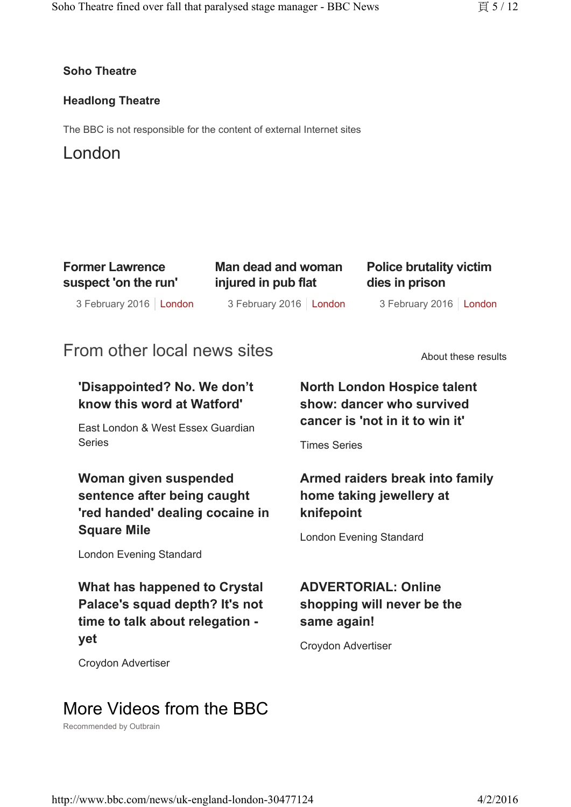#### **Soho Theatre**

#### **Headlong Theatre**

The BBC is not responsible for the content of external Internet sites

### London

| <b>Former Lawrence</b> |  |
|------------------------|--|
| suspect 'on the run'   |  |

**Man dead and woman injured in pub flat**

**Police brutality victim dies in prison**

3 February 2016 | London 3 February 2016 | London 3 February 2016 3 February 2016 | London

3 February 2016 | London

# From other local news sites

About these results

### **'Disappointed? No. We don't know this word at Watford'**

East London & West Essex Guardian Series **Series** Times Series

**Woman given suspended sentence after being caught 'red handed' dealing cocaine in Square Mile** 

London Evening Standard

**What has happened to Crystal Palace's squad depth? It's not time to talk about relegation yet** 

Croydon Advertiser

### **North London Hospice talent show: dancer who survived cancer is 'not in it to win it'**

### **Armed raiders break into family home taking jewellery at knifepoint**

London Evening Standard

### **ADVERTORIAL: Online shopping will never be the same again!**

Croydon Advertiser

# More Videos from the BBC

Recommended by Outbrain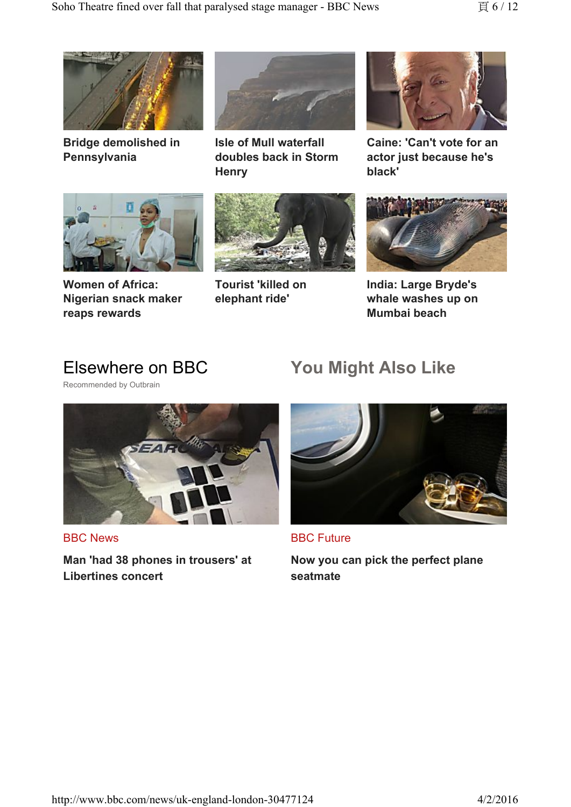

**Bridge demolished in Pennsylvania**



**Women of Africa: Nigerian snack maker reaps rewards**



**Isle of Mull waterfall doubles back in Storm Henry**



**Tourist 'killed on elephant ride'**



**Caine: 'Can't vote for an actor just because he's black'**



**India: Large Bryde's whale washes up on Mumbai beach**

# Elsewhere on BBC

Recommended by Outbrain



BBC News

**Man 'had 38 phones in trousers' at Libertines concert**

# **You Might Also Like**



BBC Future

**Now you can pick the perfect plane seatmate**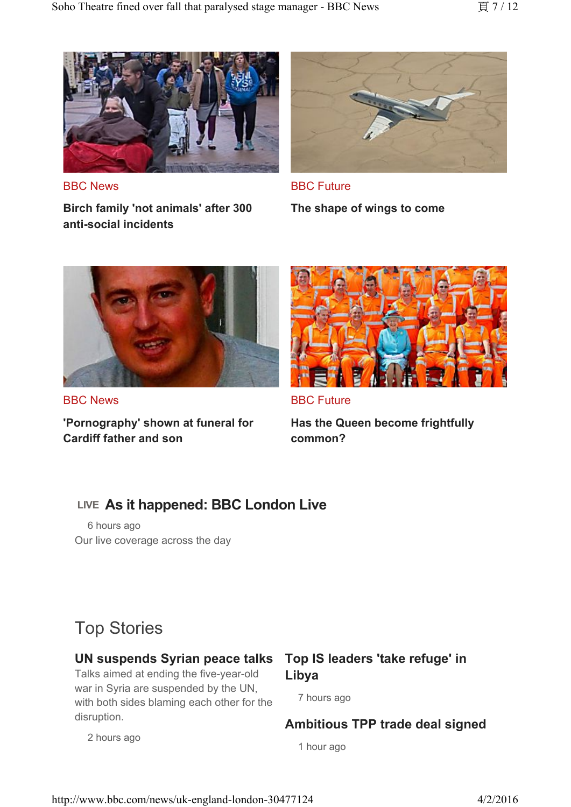

BBC News

**Birch family 'not animals' after 300 anti-social incidents**



BBC Future

**The shape of wings to come**



BBC News

**'Pornography' shown at funeral for Cardiff father and son**



BBC Future

**Has the Queen become frightfully common?**

### **LIVE As it happened: BBC London Live**

6 hours ago Our live coverage across the day

# Top Stories

2 hours ago

#### **UN suspends Syrian peace talks**

Talks aimed at ending the five-year-old war in Syria are suspended by the UN, with both sides blaming each other for the disruption.

### **Top IS leaders 'take refuge' in Libya**

7 hours ago

**Ambitious TPP trade deal signed**

1 hour ago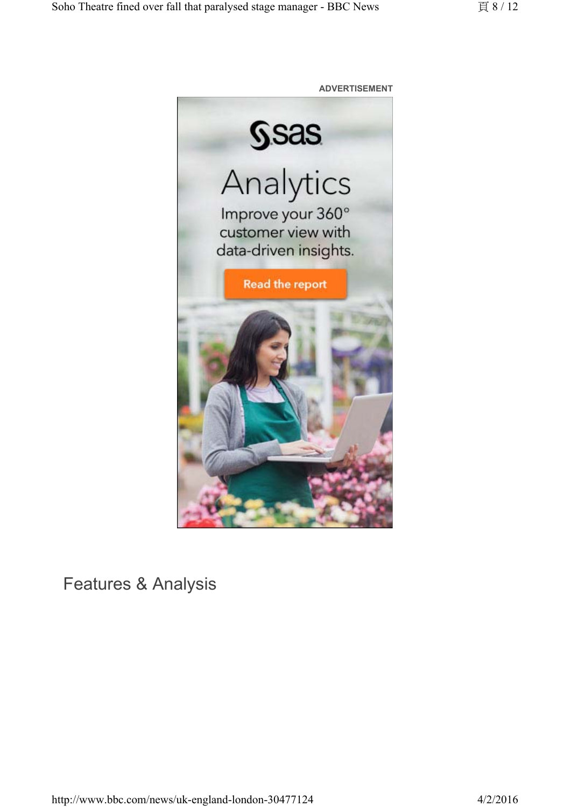

Features & Analysis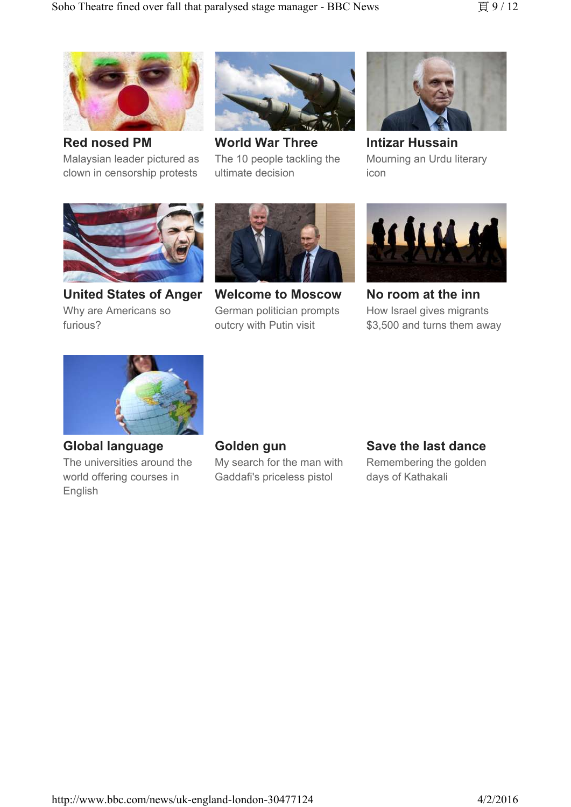

**Red nosed PM** Malaysian leader pictured as clown in censorship protests



**World War Three** The 10 people tackling the ultimate decision



**Intizar Hussain** Mourning an Urdu literary icon



**United States of Anger** Why are Americans so furious?



**Welcome to Moscow** German politician prompts outcry with Putin visit



**No room at the inn** How Israel gives migrants \$3,500 and turns them away



**Global language** The universities around the world offering courses in English

**Golden gun**

My search for the man with Gaddafi's priceless pistol

#### **Save the last dance**

Remembering the golden days of Kathakali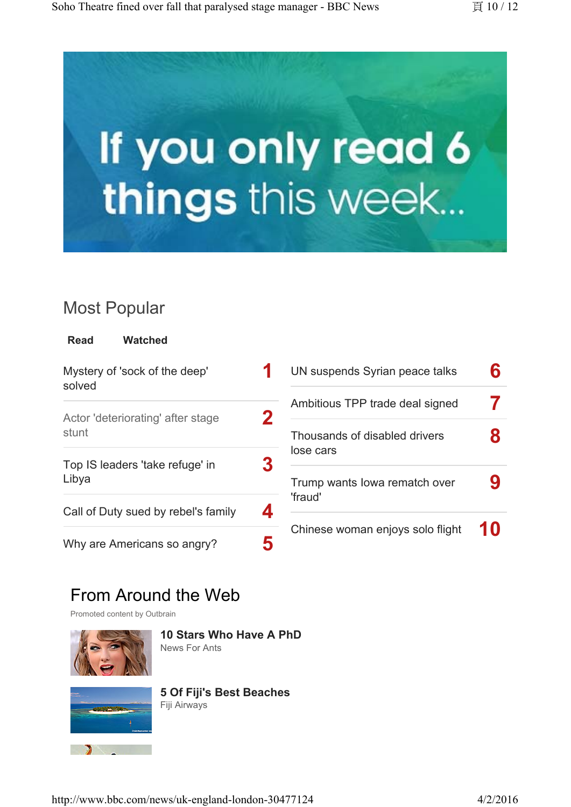



# Most Popular

| Read | <b>Watched</b> |
|------|----------------|
|      |                |

| Mystery of 'sock of the deep'<br>solved    |             |
|--------------------------------------------|-------------|
| Actor 'deteriorating' after stage<br>stunt | $\mathbf 2$ |
| Top IS leaders 'take refuge' in<br>Libya   | 3           |
| Call of Duty sued by rebel's family        | 4           |
| Why are Americans so angry?                |             |

| UN suspends Syrian peace talks             | Բ          |
|--------------------------------------------|------------|
| Ambitious TPP trade deal signed            | $\sqrt{2}$ |
| Thousands of disabled drivers<br>lose cars | 8          |
| Trump wants lowa rematch over<br>'fraud'   | 9          |
| Chinese woman enjoys solo flight           | 10         |

# From Around the Web

Promoted content by Outbrain



**10 Stars Who Have A PhD**

News For Ants



**5 Of Fiji's Best Beaches** Fiji Airways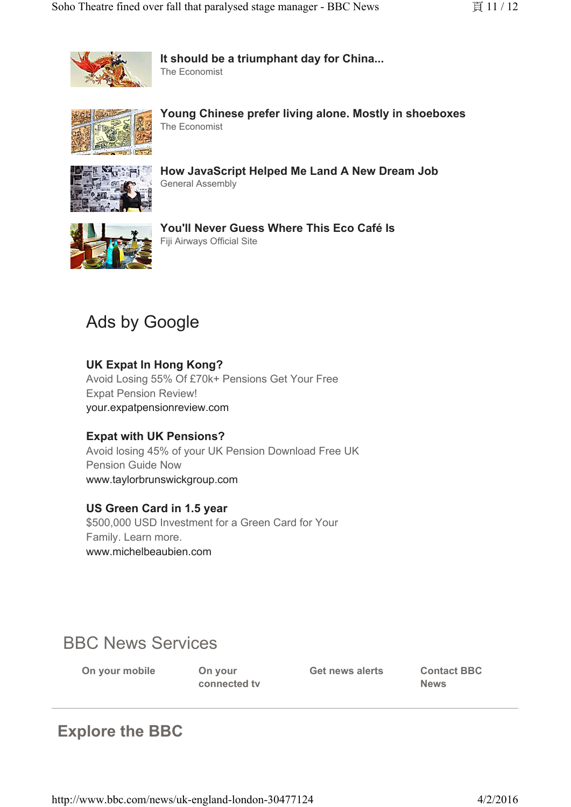

**It should be a triumphant day for China...** The Economist



**Young Chinese prefer living alone. Mostly in shoeboxes** The Economist



**How JavaScript Helped Me Land A New Dream Job** General Assembly



**You'll Never Guess Where This Eco Café Is** Fiji Airways Official Site

# Ads by Google

#### **UK Expat In Hong Kong?**

Avoid Losing 55% Of £70k+ Pensions Get Your Free Expat Pension Review! your.expatpensionreview.com

#### **Expat with UK Pensions?**

Avoid losing 45% of your UK Pension Download Free UK Pension Guide Now www.taylorbrunswickgroup.com

#### **US Green Card in 1.5 year**

\$500,000 USD Investment for a Green Card for Your Family. Learn more. www.michelbeaubien.com

# BBC News Services

**On your mobile On your** 

**connected tv**

**Get news alerts Contact BBC** 

**News**

# **Explore the BBC**